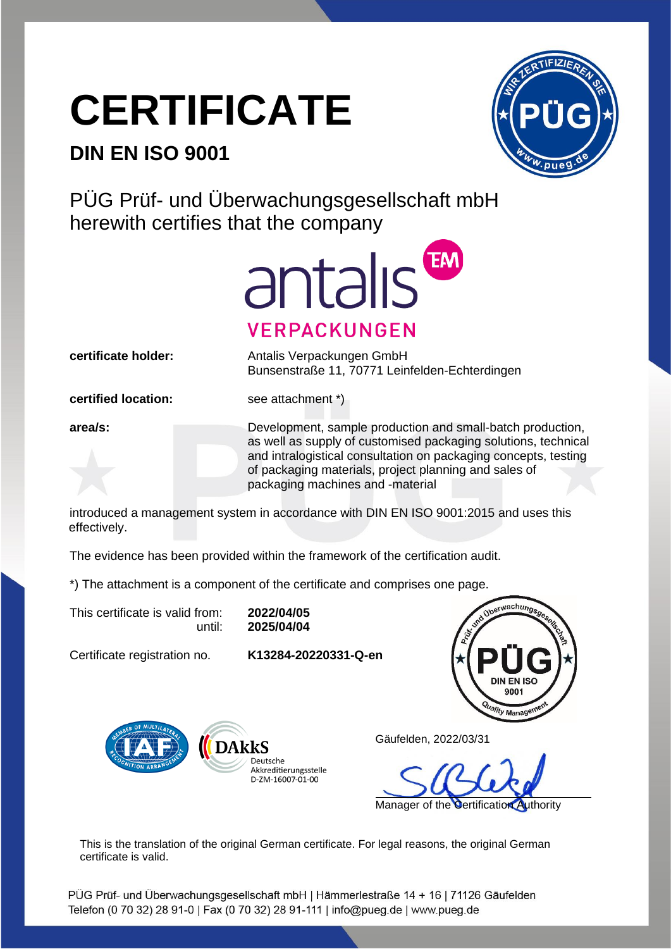## **CERTIFICATE**

## **DIN EN ISO 9001**



PÜG Prüf- und Überwachungsgesellschaft mbH herewith certifies that the company



**certificate holder:** Antalis Verpackungen GmbH Bunsenstraße 11, 70771 Leinfelden-Echterdingen

**certified location:** see attachment \*)

**area/s:** Development, sample production and small-batch production, as well as supply of customised packaging solutions, technical and intralogistical consultation on packaging concepts, testing of packaging materials, project planning and sales of packaging machines and -material

introduced a management system in accordance with DIN EN ISO 9001:2015 and uses this effectively.

The evidence has been provided within the framework of the certification audit.

\*) The attachment is a component of the certificate and comprises one page.

This certificate is valid from: **2022/04/05**

until: **2025/04/04**

Certificate registration no. **K13284-20220331-Q-en**





Gäufelden, 2022/03/31

Manager of the Certification Authority

This is the translation of the original German certificate. For legal reasons, the original German certificate is valid.

PÜG Prüf- und Überwachungsgesellschaft mbH | Hämmerlestraße 14 + 16 | 71126 Gäufelden Telefon (0 70 32) 28 91-0 | Fax (0 70 32) 28 91-111 | info@pueg.de | www.pueg.de